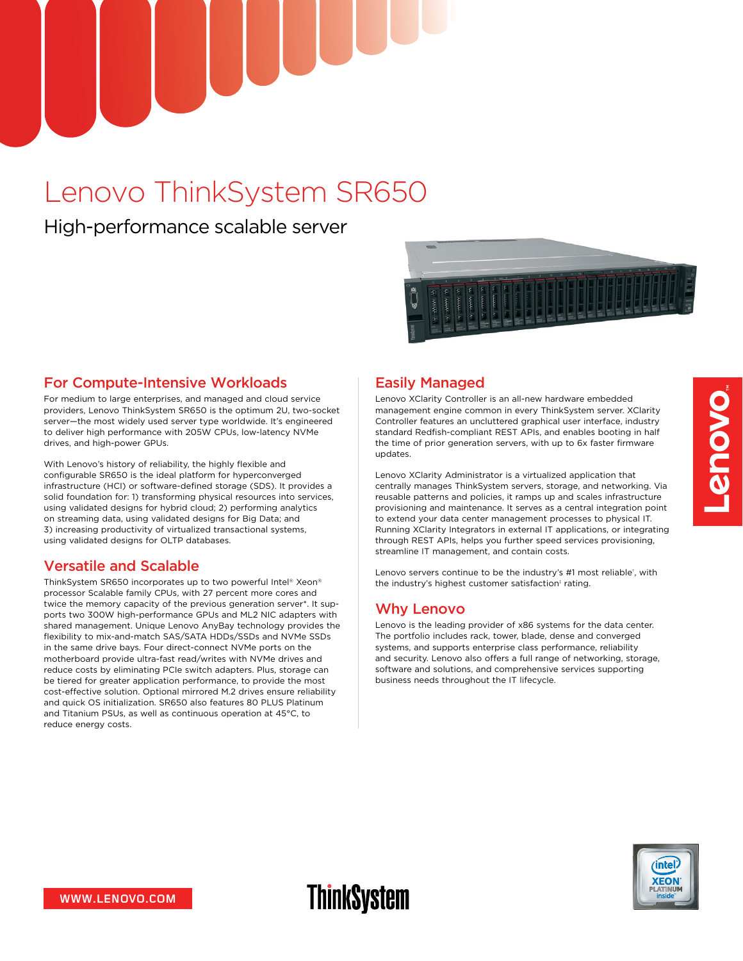

# Lenovo ThinkSystem SR650

High-performance scalable server



# For Compute-Intensive Workloads

For medium to large enterprises, and managed and cloud service providers, Lenovo ThinkSystem SR650 is the optimum 2U, two-socket server—the most widely used server type worldwide. It's engineered to deliver high performance with 205W CPUs, low-latency NVMe drives, and high-power GPUs.

With Lenovo's history of reliability, the highly flexible and configurable SR650 is the ideal platform for hyperconverged infrastructure (HCI) or software-defined storage (SDS). It provides a solid foundation for: 1) transforming physical resources into services, using validated designs for hybrid cloud; 2) performing analytics on streaming data, using validated designs for Big Data; and 3) increasing productivity of virtualized transactional systems, using validated designs for OLTP databases.

## Versatile and Scalable

ThinkSystem SR650 incorporates up to two powerful Intel® Xeon® processor Scalable family CPUs, with 27 percent more cores and twice the memory capacity of the previous generation server\*. It supports two 300W high-performance GPUs and ML2 NIC adapters with shared management. Unique Lenovo AnyBay technology provides the flexibility to mix-and-match SAS/SATA HDDs/SSDs and NVMe SSDs in the same drive bays. Four direct-connect NVMe ports on the motherboard provide ultra-fast read/writes with NVMe drives and reduce costs by eliminating PCIe switch adapters. Plus, storage can be tiered for greater application performance, to provide the most cost-effective solution. Optional mirrored M.2 drives ensure reliability and quick OS initialization. SR650 also features 80 PLUS Platinum and Titanium PSUs, as well as continuous operation at 45°C, to reduce energy costs.

## Easily Managed

Lenovo XClarity Controller is an all-new hardware embedded management engine common in every ThinkSystem server. XClarity Controller features an uncluttered graphical user interface, industry standard Redfish-compliant REST APIs, and enables booting in half the time of prior generation servers, with up to 6x faster firmware updates.

Lenovo XClarity Administrator is a virtualized application that centrally manages ThinkSystem servers, storage, and networking. Via reusable patterns and policies, it ramps up and scales infrastructure provisioning and maintenance. It serves as a central integration point to extend your data center management processes to physical IT. Running XClarity Integrators in external IT applications, or integrating through REST APIs, helps you further speed services provisioning, streamline IT management, and contain costs.

Lenovo servers continue to be the industry's #1 most reliable<sup>+</sup>, with the industry's highest customer satisfaction<sup>†</sup> rating.

# Why Lenovo

Lenovo is the leading provider of x86 systems for the data center. The portfolio includes rack, tower, blade, dense and converged systems, and supports enterprise class performance, reliability and security. Lenovo also offers a full range of networking, storage, software and solutions, and comprehensive services supporting business needs throughout the IT lifecycle.